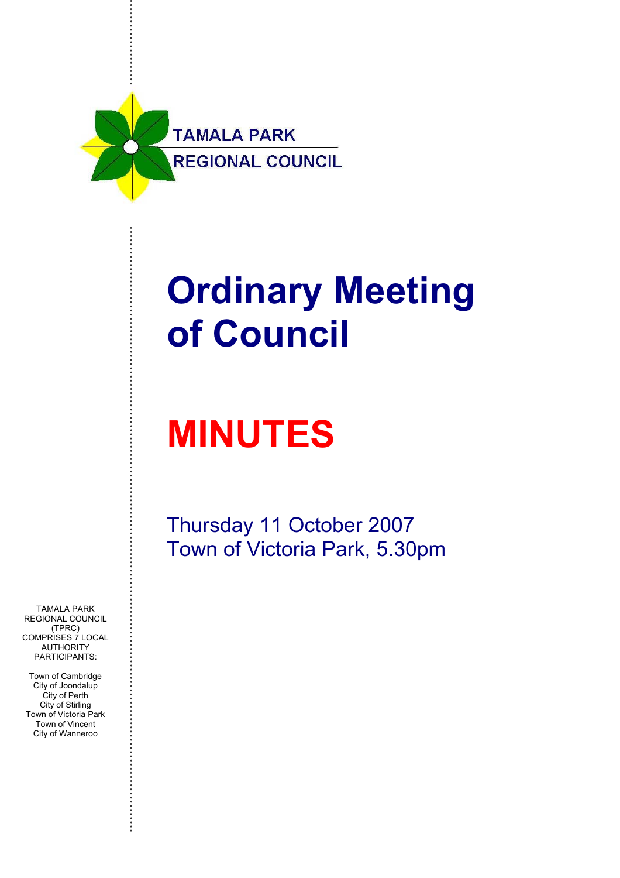

# **Ordinary Meeting of Council**

# **MINUTES**

Thursday 11 October 2007 Town of Victoria Park, 5.30pm

TAMALA PARK REGIONAL COUNCIL (TPRC) COMPRISES 7 LOCAL AUTHORITY PARTICIPANTS:

Town of Cambridge City of Joondalup City of Perth City of Stirling Town of Victoria Park Town of Vincent City of Wanneroo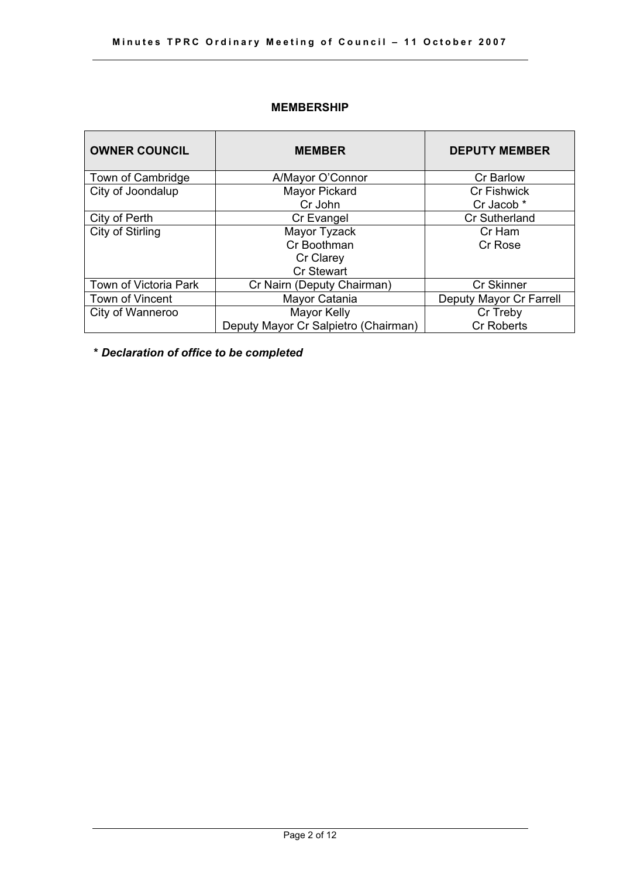# **MEMBERSHIP**

| <b>OWNER COUNCIL</b>  | <b>MEMBER</b>                        | <b>DEPUTY MEMBER</b>    |
|-----------------------|--------------------------------------|-------------------------|
| Town of Cambridge     | A/Mayor O'Connor                     | <b>Cr Barlow</b>        |
| City of Joondalup     | Mayor Pickard                        | <b>Cr Fishwick</b>      |
|                       | Cr John                              | Cr Jacob *              |
| City of Perth         | Cr Evangel                           | <b>Cr Sutherland</b>    |
| City of Stirling      | Mayor Tyzack                         | Cr Ham                  |
|                       | Cr Boothman                          | Cr Rose                 |
|                       | Cr Clarey                            |                         |
|                       | <b>Cr Stewart</b>                    |                         |
| Town of Victoria Park | Cr Nairn (Deputy Chairman)           | <b>Cr Skinner</b>       |
| Town of Vincent       | Mayor Catania                        | Deputy Mayor Cr Farrell |
| City of Wanneroo      | Mayor Kelly                          | Cr Treby                |
|                       | Deputy Mayor Cr Salpietro (Chairman) | <b>Cr Roberts</b>       |

**\*** *Declaration of office to be completed*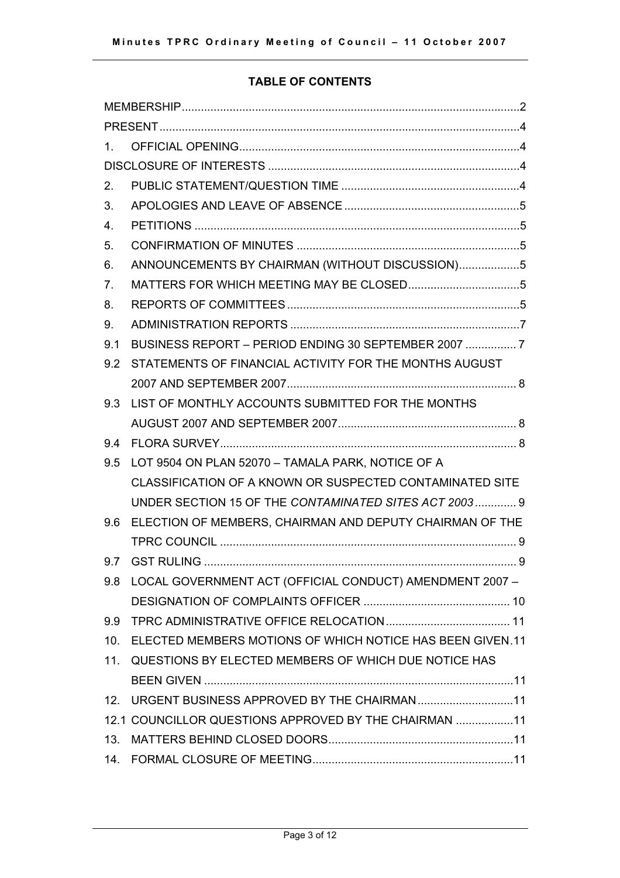# **TABLE OF CONTENTS**

| $1_{-}$         |                                                              |  |  |  |
|-----------------|--------------------------------------------------------------|--|--|--|
|                 |                                                              |  |  |  |
| 2.              |                                                              |  |  |  |
| 3.              |                                                              |  |  |  |
| 4.              |                                                              |  |  |  |
| 5.              |                                                              |  |  |  |
| 6.              | ANNOUNCEMENTS BY CHAIRMAN (WITHOUT DISCUSSION)5              |  |  |  |
| 7.              |                                                              |  |  |  |
| 8.              |                                                              |  |  |  |
| 9.              |                                                              |  |  |  |
| 9.1             |                                                              |  |  |  |
| 9.2             | STATEMENTS OF FINANCIAL ACTIVITY FOR THE MONTHS AUGUST       |  |  |  |
|                 |                                                              |  |  |  |
| 9.3             | LIST OF MONTHLY ACCOUNTS SUBMITTED FOR THE MONTHS            |  |  |  |
|                 |                                                              |  |  |  |
| 9.4             |                                                              |  |  |  |
| 9.5             | LOT 9504 ON PLAN 52070 - TAMALA PARK, NOTICE OF A            |  |  |  |
|                 | CLASSIFICATION OF A KNOWN OR SUSPECTED CONTAMINATED SITE     |  |  |  |
|                 | UNDER SECTION 15 OF THE CONTAMINATED SITES ACT 2003 9        |  |  |  |
|                 | 9.6 ELECTION OF MEMBERS, CHAIRMAN AND DEPUTY CHAIRMAN OF THE |  |  |  |
|                 |                                                              |  |  |  |
| 9.7             |                                                              |  |  |  |
| 9.8             | LOCAL GOVERNMENT ACT (OFFICIAL CONDUCT) AMENDMENT 2007 -     |  |  |  |
|                 |                                                              |  |  |  |
| 9.9             |                                                              |  |  |  |
| 10.             | ELECTED MEMBERS MOTIONS OF WHICH NOTICE HAS BEEN GIVEN.11    |  |  |  |
| 11.             | QUESTIONS BY ELECTED MEMBERS OF WHICH DUE NOTICE HAS         |  |  |  |
|                 |                                                              |  |  |  |
| 12 <sub>1</sub> | URGENT BUSINESS APPROVED BY THE CHAIRMAN11                   |  |  |  |
|                 | 12.1 COUNCILLOR QUESTIONS APPROVED BY THE CHAIRMAN  11       |  |  |  |
| 13.             |                                                              |  |  |  |
| 14.             |                                                              |  |  |  |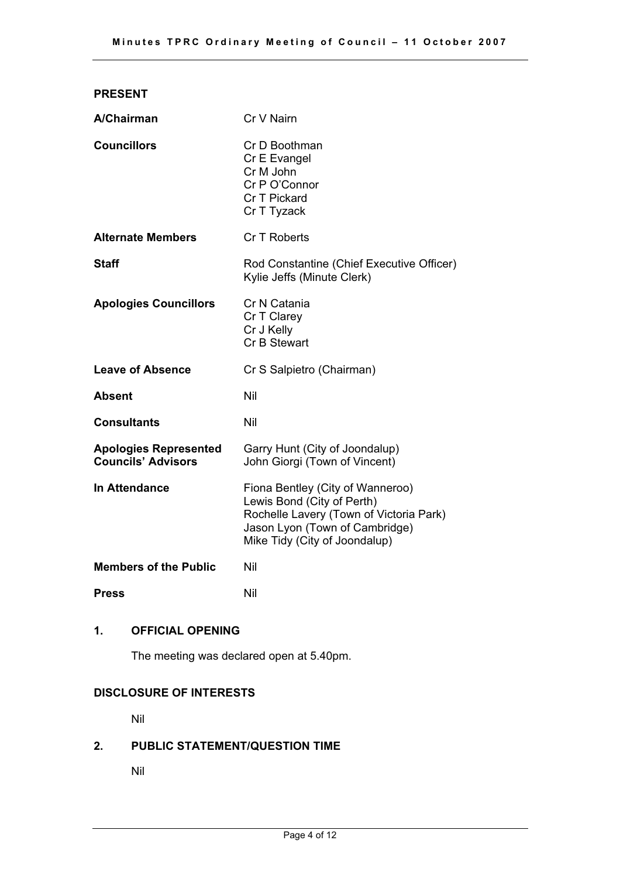| <b>PRESENT</b>                                            |                                                                                                                                                                              |
|-----------------------------------------------------------|------------------------------------------------------------------------------------------------------------------------------------------------------------------------------|
| A/Chairman                                                | Cr V Nairn                                                                                                                                                                   |
| <b>Councillors</b>                                        | Cr D Boothman<br>Cr E Evangel<br>Cr M John<br>Cr P O'Connor<br>Cr T Pickard<br>Cr T Tyzack                                                                                   |
| <b>Alternate Members</b>                                  | Cr T Roberts                                                                                                                                                                 |
| Staff                                                     | Rod Constantine (Chief Executive Officer)<br>Kylie Jeffs (Minute Clerk)                                                                                                      |
| <b>Apologies Councillors</b>                              | Cr N Catania<br>Cr T Clarey<br>Cr J Kelly<br>Cr B Stewart                                                                                                                    |
| <b>Leave of Absence</b>                                   | Cr S Salpietro (Chairman)                                                                                                                                                    |
| Absent                                                    | Nil                                                                                                                                                                          |
| Consultants                                               | Nil                                                                                                                                                                          |
| <b>Apologies Represented</b><br><b>Councils' Advisors</b> | Garry Hunt (City of Joondalup)<br>John Giorgi (Town of Vincent)                                                                                                              |
| <b>In Attendance</b>                                      | Fiona Bentley (City of Wanneroo)<br>Lewis Bond (City of Perth)<br>Rochelle Lavery (Town of Victoria Park)<br>Jason Lyon (Town of Cambridge)<br>Mike Tidy (City of Joondalup) |
| <b>Members of the Public</b>                              | Nil                                                                                                                                                                          |
| <b>Press</b>                                              | Nil                                                                                                                                                                          |

# **1. OFFICIAL OPENING**

The meeting was declared open at 5.40pm.

# **DISCLOSURE OF INTERESTS**

Nil

# **2. PUBLIC STATEMENT/QUESTION TIME**

Nil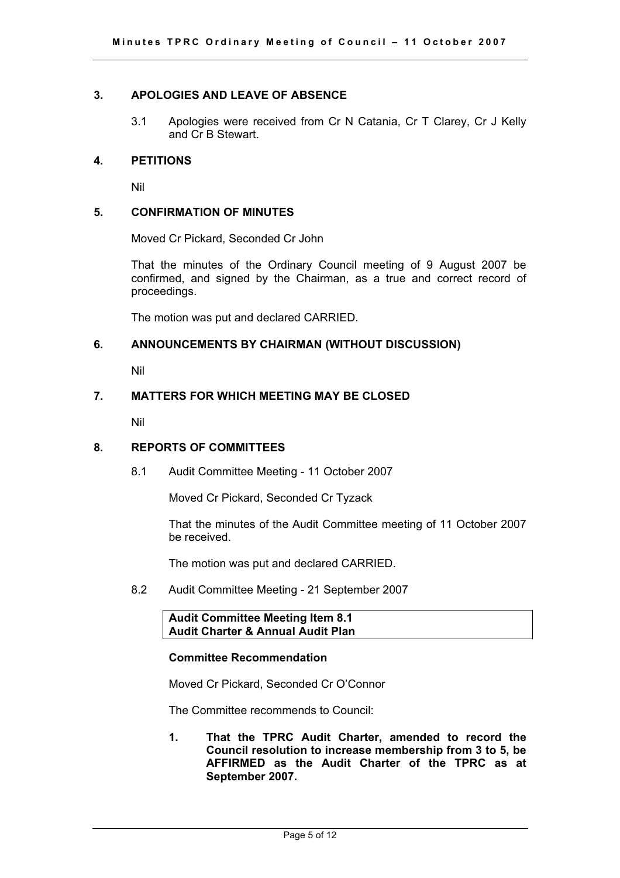# **3. APOLOGIES AND LEAVE OF ABSENCE**

3.1 Apologies were received from Cr N Catania, Cr T Clarey, Cr J Kelly and Cr B Stewart.

#### **4. PETITIONS**

Nil

#### **5. CONFIRMATION OF MINUTES**

Moved Cr Pickard, Seconded Cr John

That the minutes of the Ordinary Council meeting of 9 August 2007 be confirmed, and signed by the Chairman, as a true and correct record of proceedings.

The motion was put and declared CARRIED.

# **6. ANNOUNCEMENTS BY CHAIRMAN (WITHOUT DISCUSSION)**

Nil

# **7. MATTERS FOR WHICH MEETING MAY BE CLOSED**

Nil

#### **8. REPORTS OF COMMITTEES**

8.1 Audit Committee Meeting - 11 October 2007

Moved Cr Pickard, Seconded Cr Tyzack

That the minutes of the Audit Committee meeting of 11 October 2007 be received.

The motion was put and declared CARRIED.

8.2 Audit Committee Meeting - 21 September 2007

**Audit Committee Meeting Item 8.1 Audit Charter & Annual Audit Plan** 

#### **Committee Recommendation**

Moved Cr Pickard, Seconded Cr O'Connor

The Committee recommends to Council:

**1. That the TPRC Audit Charter, amended to record the Council resolution to increase membership from 3 to 5, be AFFIRMED as the Audit Charter of the TPRC as at September 2007.**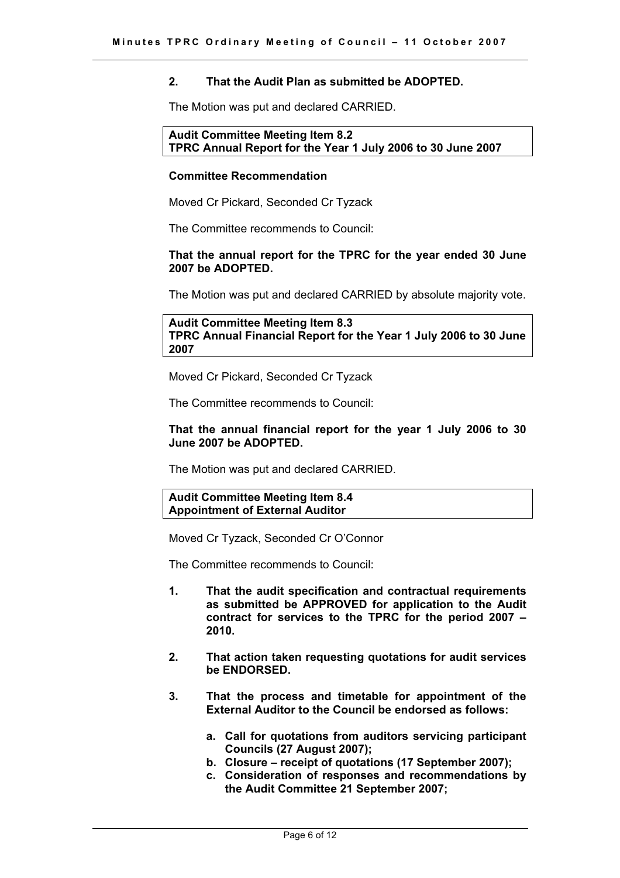# **2. That the Audit Plan as submitted be ADOPTED.**

The Motion was put and declared CARRIED.

**Audit Committee Meeting Item 8.2 TPRC Annual Report for the Year 1 July 2006 to 30 June 2007** 

#### **Committee Recommendation**

Moved Cr Pickard, Seconded Cr Tyzack

The Committee recommends to Council:

#### **That the annual report for the TPRC for the year ended 30 June 2007 be ADOPTED.**

The Motion was put and declared CARRIED by absolute majority vote.

**Audit Committee Meeting Item 8.3 TPRC Annual Financial Report for the Year 1 July 2006 to 30 June 2007**

Moved Cr Pickard, Seconded Cr Tyzack

The Committee recommends to Council:

#### **That the annual financial report for the year 1 July 2006 to 30 June 2007 be ADOPTED.**

The Motion was put and declared CARRIED.

#### **Audit Committee Meeting Item 8.4 Appointment of External Auditor**

Moved Cr Tyzack, Seconded Cr O'Connor

The Committee recommends to Council:

- **1. That the audit specification and contractual requirements as submitted be APPROVED for application to the Audit contract for services to the TPRC for the period 2007 – 2010.**
- **2. That action taken requesting quotations for audit services be ENDORSED.**
- **3. That the process and timetable for appointment of the External Auditor to the Council be endorsed as follows:** 
	- **a. Call for quotations from auditors servicing participant Councils (27 August 2007);**
	- **b. Closure receipt of quotations (17 September 2007);**
	- **c. Consideration of responses and recommendations by the Audit Committee 21 September 2007;**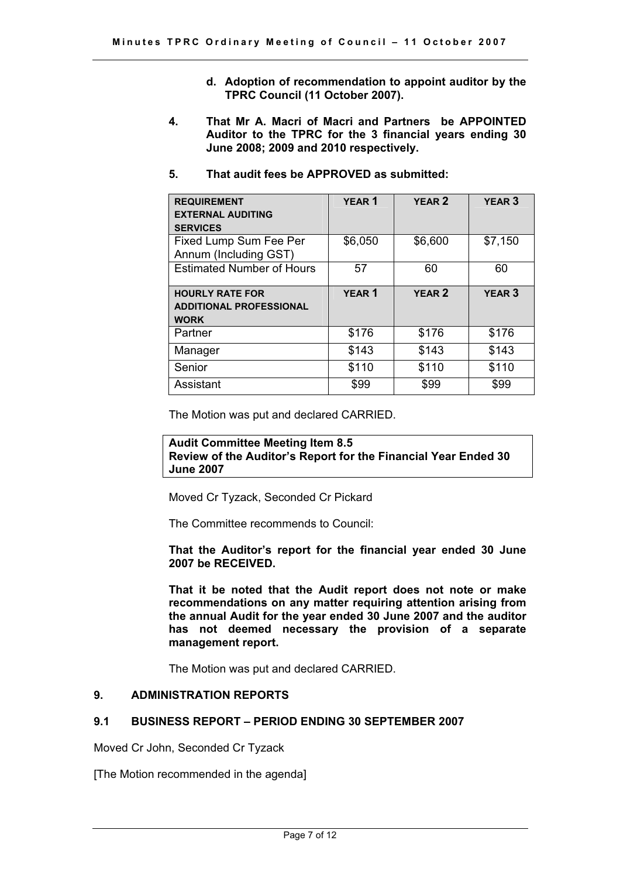- **d. Adoption of recommendation to appoint auditor by the TPRC Council (11 October 2007).**
- **4. That Mr A. Macri of Macri and Partners be APPOINTED Auditor to the TPRC for the 3 financial years ending 30 June 2008; 2009 and 2010 respectively.**
- **5. That audit fees be APPROVED as submitted:**

| <b>REQUIREMENT</b><br><b>EXTERNAL AUDITING</b><br><b>SERVICES</b>       | <b>YEAR1</b> | <b>YEAR 2</b> | <b>YEAR 3</b> |
|-------------------------------------------------------------------------|--------------|---------------|---------------|
| Fixed Lump Sum Fee Per<br>Annum (Including GST)                         | \$6,050      | \$6,600       | \$7,150       |
| <b>Estimated Number of Hours</b>                                        | 57           | 60            | 60            |
| <b>HOURLY RATE FOR</b><br><b>ADDITIONAL PROFESSIONAL</b><br><b>WORK</b> | <b>YEAR1</b> | <b>YEAR 2</b> | <b>YEAR 3</b> |
| Partner                                                                 | \$176        | \$176         | \$176         |
| Manager                                                                 | \$143        | \$143         | \$143         |
| Senior                                                                  | \$110        | \$110         | \$110         |
| Assistant                                                               | \$99         | \$99          | \$99          |

The Motion was put and declared CARRIED.

# **Audit Committee Meeting Item 8.5 Review of the Auditor's Report for the Financial Year Ended 30 June 2007**

Moved Cr Tyzack, Seconded Cr Pickard

The Committee recommends to Council:

**That the Auditor's report for the financial year ended 30 June 2007 be RECEIVED.**

**That it be noted that the Audit report does not note or make recommendations on any matter requiring attention arising from the annual Audit for the year ended 30 June 2007 and the auditor has not deemed necessary the provision of a separate management report.** 

The Motion was put and declared CARRIED.

# **9. ADMINISTRATION REPORTS**

# **9.1 BUSINESS REPORT – PERIOD ENDING 30 SEPTEMBER 2007**

Moved Cr John, Seconded Cr Tyzack

[The Motion recommended in the agenda]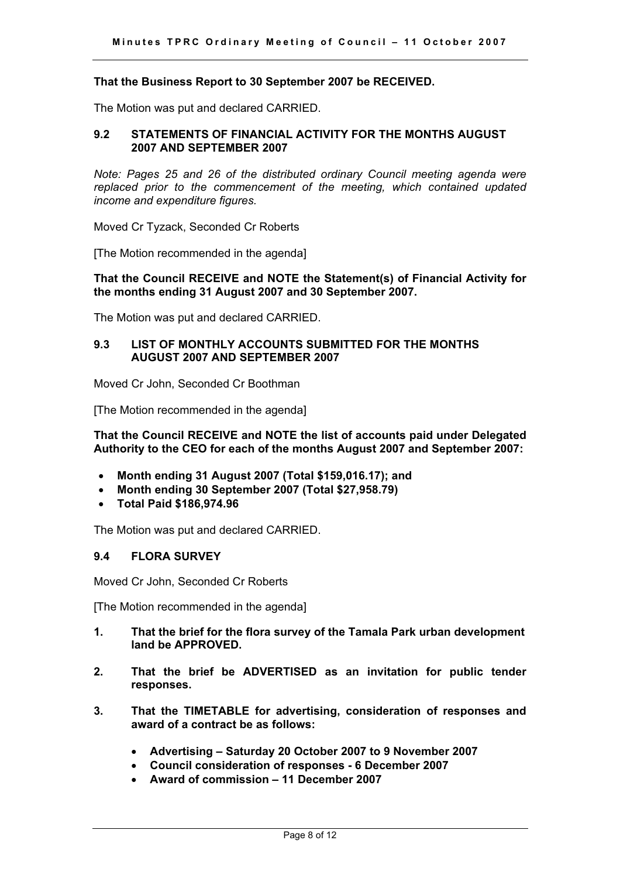#### **That the Business Report to 30 September 2007 be RECEIVED.**

The Motion was put and declared CARRIED.

#### **9.2 STATEMENTS OF FINANCIAL ACTIVITY FOR THE MONTHS AUGUST 2007 AND SEPTEMBER 2007**

*Note: Pages 25 and 26 of the distributed ordinary Council meeting agenda were replaced prior to the commencement of the meeting, which contained updated income and expenditure figures.* 

Moved Cr Tyzack, Seconded Cr Roberts

[The Motion recommended in the agenda]

#### **That the Council RECEIVE and NOTE the Statement(s) of Financial Activity for the months ending 31 August 2007 and 30 September 2007.**

The Motion was put and declared CARRIED.

#### **9.3 LIST OF MONTHLY ACCOUNTS SUBMITTED FOR THE MONTHS AUGUST 2007 AND SEPTEMBER 2007**

Moved Cr John, Seconded Cr Boothman

[The Motion recommended in the agenda]

**That the Council RECEIVE and NOTE the list of accounts paid under Delegated Authority to the CEO for each of the months August 2007 and September 2007:** 

- **Month ending 31 August 2007 (Total \$159,016.17); and**
- **Month ending 30 September 2007 (Total \$27,958.79)**
- $\bullet$ **Total Paid \$186,974.96**

The Motion was put and declared CARRIED.

#### **9.4 FLORA SURVEY**

Moved Cr John, Seconded Cr Roberts

[The Motion recommended in the agenda]

- **1. That the brief for the flora survey of the Tamala Park urban development land be APPROVED.**
- **2. That the brief be ADVERTISED as an invitation for public tender responses.**
- **3. That the TIMETABLE for advertising, consideration of responses and award of a contract be as follows:** 
	- **Advertising Saturday 20 October 2007 to 9 November 2007**
	- **Council consideration of responses 6 December 2007**
	- $\bullet$ **Award of commission – 11 December 2007**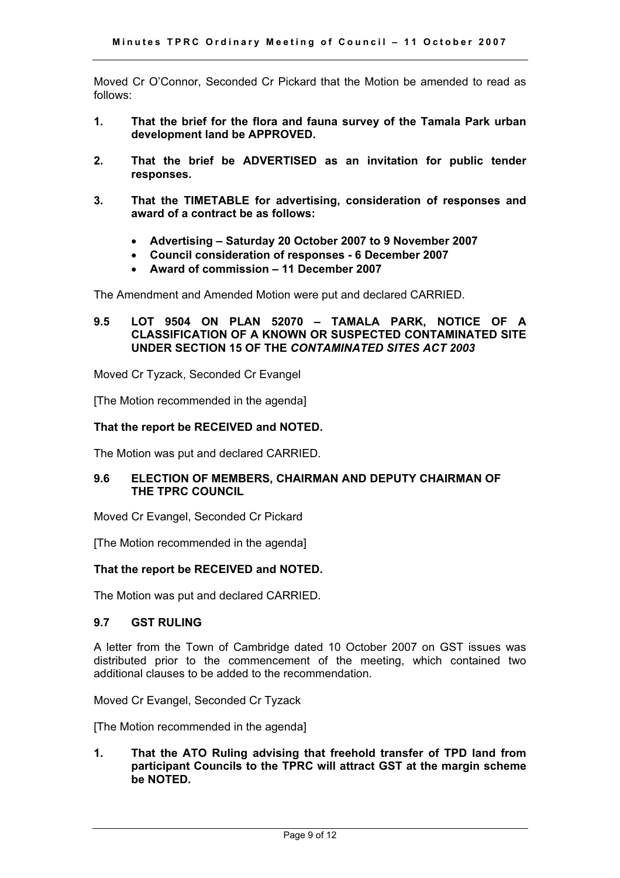Moved Cr O'Connor, Seconded Cr Pickard that the Motion be amended to read as follows:

- **1. That the brief for the flora and fauna survey of the Tamala Park urban development land be APPROVED.**
- **2. That the brief be ADVERTISED as an invitation for public tender responses.**
- **3. That the TIMETABLE for advertising, consideration of responses and award of a contract be as follows:** 
	- **Advertising Saturday 20 October 2007 to 9 November 2007**
	- **Council consideration of responses 6 December 2007**
	- **Award of commission 11 December 2007**

The Amendment and Amended Motion were put and declared CARRIED.

#### **9.5 LOT 9504 ON PLAN 52070 – TAMALA PARK, NOTICE OF A CLASSIFICATION OF A KNOWN OR SUSPECTED CONTAMINATED SITE UNDER SECTION 15 OF THE** *CONTAMINATED SITES ACT 2003*

Moved Cr Tyzack, Seconded Cr Evangel

[The Motion recommended in the agenda]

#### **That the report be RECEIVED and NOTED.**

The Motion was put and declared CARRIED.

#### **9.6 ELECTION OF MEMBERS, CHAIRMAN AND DEPUTY CHAIRMAN OF THE TPRC COUNCIL**

Moved Cr Evangel, Seconded Cr Pickard

[The Motion recommended in the agenda]

#### **That the report be RECEIVED and NOTED.**

The Motion was put and declared CARRIED.

## **9.7 GST RULING**

A letter from the Town of Cambridge dated 10 October 2007 on GST issues was distributed prior to the commencement of the meeting, which contained two additional clauses to be added to the recommendation.

Moved Cr Evangel, Seconded Cr Tyzack

[The Motion recommended in the agenda]

#### **1. That the ATO Ruling advising that freehold transfer of TPD land from participant Councils to the TPRC will attract GST at the margin scheme be NOTED.**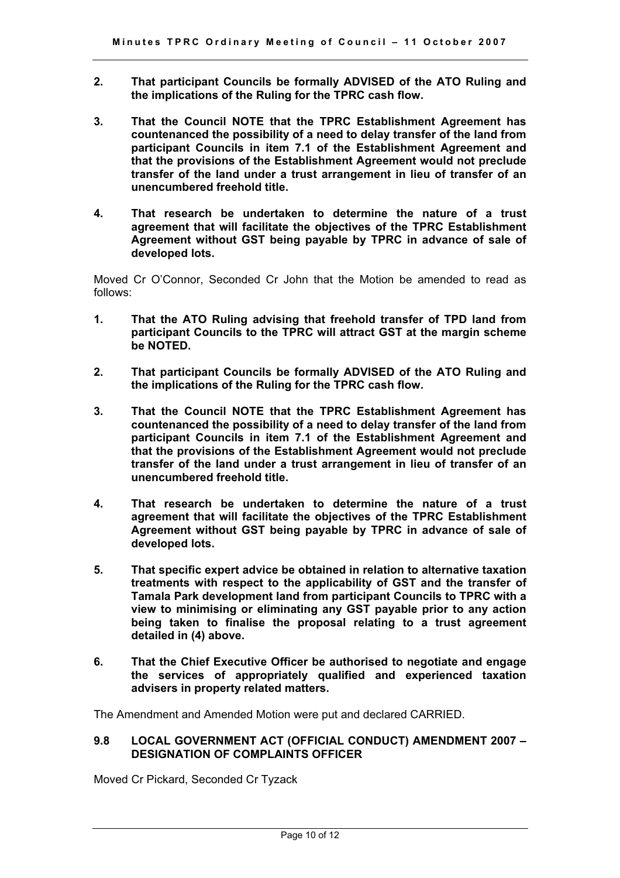- **2. That participant Councils be formally ADVISED of the ATO Ruling and the implications of the Ruling for the TPRC cash flow.**
- **3. That the Council NOTE that the TPRC Establishment Agreement has countenanced the possibility of a need to delay transfer of the land from participant Councils in item 7.1 of the Establishment Agreement and that the provisions of the Establishment Agreement would not preclude transfer of the land under a trust arrangement in lieu of transfer of an unencumbered freehold title.**
- **4. That research be undertaken to determine the nature of a trust agreement that will facilitate the objectives of the TPRC Establishment Agreement without GST being payable by TPRC in advance of sale of developed lots.**

Moved Cr O'Connor, Seconded Cr John that the Motion be amended to read as follows:

- **1. That the ATO Ruling advising that freehold transfer of TPD land from participant Councils to the TPRC will attract GST at the margin scheme be NOTED.**
- **2. That participant Councils be formally ADVISED of the ATO Ruling and the implications of the Ruling for the TPRC cash flow.**
- **3. That the Council NOTE that the TPRC Establishment Agreement has countenanced the possibility of a need to delay transfer of the land from participant Councils in item 7.1 of the Establishment Agreement and that the provisions of the Establishment Agreement would not preclude transfer of the land under a trust arrangement in lieu of transfer of an unencumbered freehold title.**
- **4. That research be undertaken to determine the nature of a trust agreement that will facilitate the objectives of the TPRC Establishment Agreement without GST being payable by TPRC in advance of sale of developed lots.**
- **5. That specific expert advice be obtained in relation to alternative taxation treatments with respect to the applicability of GST and the transfer of Tamala Park development land from participant Councils to TPRC with a view to minimising or eliminating any GST payable prior to any action being taken to finalise the proposal relating to a trust agreement detailed in (4) above.**
- **6. That the Chief Executive Officer be authorised to negotiate and engage the services of appropriately qualified and experienced taxation advisers in property related matters.**

The Amendment and Amended Motion were put and declared CARRIED.

# **9.8 LOCAL GOVERNMENT ACT (OFFICIAL CONDUCT) AMENDMENT 2007 – DESIGNATION OF COMPLAINTS OFFICER**

Moved Cr Pickard, Seconded Cr Tyzack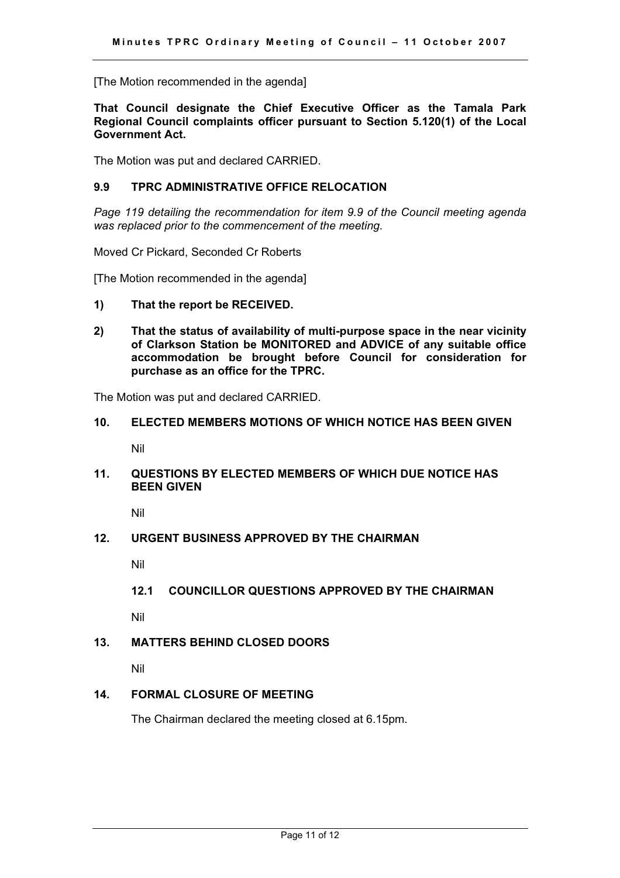[The Motion recommended in the agenda]

#### **That Council designate the Chief Executive Officer as the Tamala Park Regional Council complaints officer pursuant to Section 5.120(1) of the Local Government Act.**

The Motion was put and declared CARRIED.

#### **9.9 TPRC ADMINISTRATIVE OFFICE RELOCATION**

*Page 119 detailing the recommendation for item 9.9 of the Council meeting agenda was replaced prior to the commencement of the meeting.* 

Moved Cr Pickard, Seconded Cr Roberts

[The Motion recommended in the agenda]

- **1) That the report be RECEIVED.**
- **2) That the status of availability of multi-purpose space in the near vicinity of Clarkson Station be MONITORED and ADVICE of any suitable office accommodation be brought before Council for consideration for purchase as an office for the TPRC.**

The Motion was put and declared CARRIED.

#### **10. ELECTED MEMBERS MOTIONS OF WHICH NOTICE HAS BEEN GIVEN**

Nil

# **11. QUESTIONS BY ELECTED MEMBERS OF WHICH DUE NOTICE HAS BEEN GIVEN**

Nil

#### **12. URGENT BUSINESS APPROVED BY THE CHAIRMAN**

Nil

**12.1 COUNCILLOR QUESTIONS APPROVED BY THE CHAIRMAN** 

Nil

#### **13. MATTERS BEHIND CLOSED DOORS**

Nil

# **14. FORMAL CLOSURE OF MEETING**

The Chairman declared the meeting closed at 6.15pm.